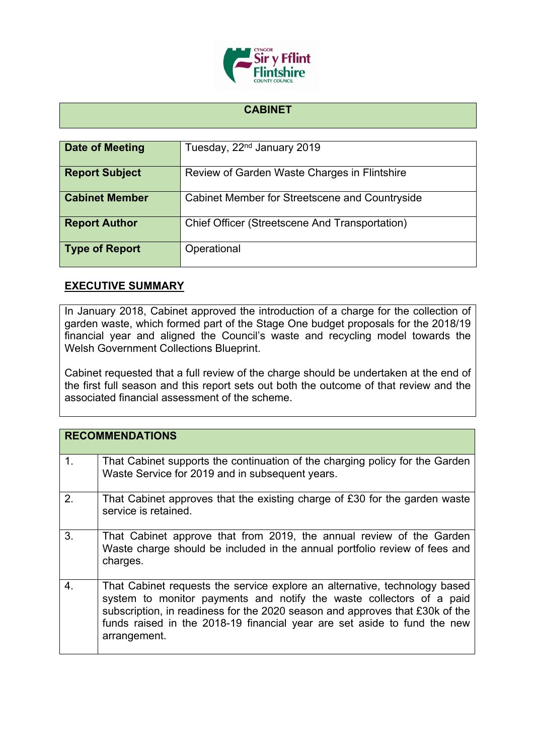

## **CABINET**

| Date of Meeting       | Tuesday, 22 <sup>nd</sup> January 2019         |
|-----------------------|------------------------------------------------|
| <b>Report Subject</b> | Review of Garden Waste Charges in Flintshire   |
| <b>Cabinet Member</b> | Cabinet Member for Streetscene and Countryside |
| <b>Report Author</b>  | Chief Officer (Streetscene And Transportation) |
| <b>Type of Report</b> | Operational                                    |

## **EXECUTIVE SUMMARY**

In January 2018, Cabinet approved the introduction of a charge for the collection of garden waste, which formed part of the Stage One budget proposals for the 2018/19 financial year and aligned the Council's waste and recycling model towards the Welsh Government Collections Blueprint.

Cabinet requested that a full review of the charge should be undertaken at the end of the first full season and this report sets out both the outcome of that review and the associated financial assessment of the scheme.

|                | <b>RECOMMENDATIONS</b>                                                                                                                                                                                                                                                                                                         |
|----------------|--------------------------------------------------------------------------------------------------------------------------------------------------------------------------------------------------------------------------------------------------------------------------------------------------------------------------------|
| $\mathbf{1}$ . | That Cabinet supports the continuation of the charging policy for the Garden<br>Waste Service for 2019 and in subsequent years.                                                                                                                                                                                                |
| 2.             | That Cabinet approves that the existing charge of £30 for the garden waste<br>service is retained.                                                                                                                                                                                                                             |
| 3.             | That Cabinet approve that from 2019, the annual review of the Garden<br>Waste charge should be included in the annual portfolio review of fees and<br>charges.                                                                                                                                                                 |
| 4.             | That Cabinet requests the service explore an alternative, technology based<br>system to monitor payments and notify the waste collectors of a paid<br>subscription, in readiness for the 2020 season and approves that £30k of the<br>funds raised in the 2018-19 financial year are set aside to fund the new<br>arrangement. |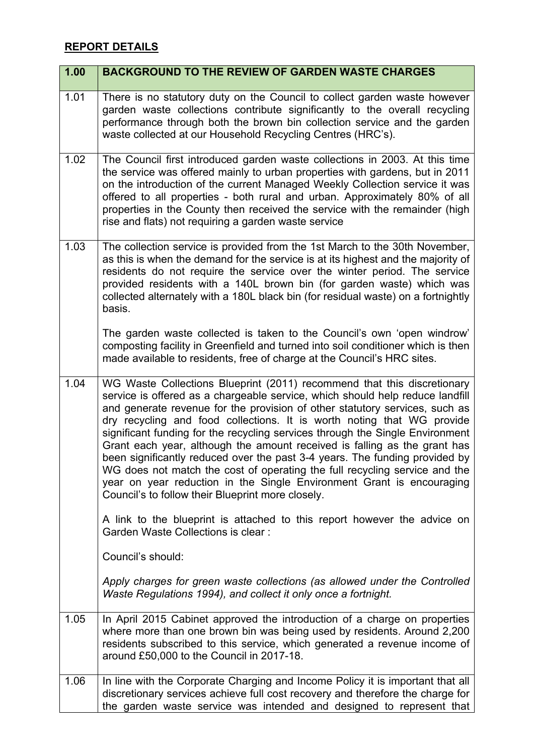## **REPORT DETAILS**

| 1.00 | <b>BACKGROUND TO THE REVIEW OF GARDEN WASTE CHARGES</b>                                                                                                                                                                                                                                                                                                                                                                                                                                                                                                                                                                                                                                                                                                                    |
|------|----------------------------------------------------------------------------------------------------------------------------------------------------------------------------------------------------------------------------------------------------------------------------------------------------------------------------------------------------------------------------------------------------------------------------------------------------------------------------------------------------------------------------------------------------------------------------------------------------------------------------------------------------------------------------------------------------------------------------------------------------------------------------|
| 1.01 | There is no statutory duty on the Council to collect garden waste however<br>garden waste collections contribute significantly to the overall recycling<br>performance through both the brown bin collection service and the garden<br>waste collected at our Household Recycling Centres (HRC's).                                                                                                                                                                                                                                                                                                                                                                                                                                                                         |
| 1.02 | The Council first introduced garden waste collections in 2003. At this time<br>the service was offered mainly to urban properties with gardens, but in 2011<br>on the introduction of the current Managed Weekly Collection service it was<br>offered to all properties - both rural and urban. Approximately 80% of all<br>properties in the County then received the service with the remainder (high<br>rise and flats) not requiring a garden waste service                                                                                                                                                                                                                                                                                                            |
| 1.03 | The collection service is provided from the 1st March to the 30th November,<br>as this is when the demand for the service is at its highest and the majority of<br>residents do not require the service over the winter period. The service<br>provided residents with a 140L brown bin (for garden waste) which was<br>collected alternately with a 180L black bin (for residual waste) on a fortnightly<br>basis.                                                                                                                                                                                                                                                                                                                                                        |
|      | The garden waste collected is taken to the Council's own 'open windrow'<br>composting facility in Greenfield and turned into soil conditioner which is then<br>made available to residents, free of charge at the Council's HRC sites.                                                                                                                                                                                                                                                                                                                                                                                                                                                                                                                                     |
| 1.04 | WG Waste Collections Blueprint (2011) recommend that this discretionary<br>service is offered as a chargeable service, which should help reduce landfill<br>and generate revenue for the provision of other statutory services, such as<br>dry recycling and food collections. It is worth noting that WG provide<br>significant funding for the recycling services through the Single Environment<br>Grant each year, although the amount received is falling as the grant has<br>been significantly reduced over the past 3-4 years. The funding provided by<br>WG does not match the cost of operating the full recycling service and the<br>year on year reduction in the Single Environment Grant is encouraging<br>Council's to follow their Blueprint more closely. |
|      | A link to the blueprint is attached to this report however the advice on<br>Garden Waste Collections is clear:                                                                                                                                                                                                                                                                                                                                                                                                                                                                                                                                                                                                                                                             |
|      | Council's should:<br>Apply charges for green waste collections (as allowed under the Controlled<br>Waste Regulations 1994), and collect it only once a fortnight.                                                                                                                                                                                                                                                                                                                                                                                                                                                                                                                                                                                                          |
| 1.05 | In April 2015 Cabinet approved the introduction of a charge on properties<br>where more than one brown bin was being used by residents. Around 2,200<br>residents subscribed to this service, which generated a revenue income of<br>around £50,000 to the Council in 2017-18.                                                                                                                                                                                                                                                                                                                                                                                                                                                                                             |
| 1.06 | In line with the Corporate Charging and Income Policy it is important that all<br>discretionary services achieve full cost recovery and therefore the charge for<br>the garden waste service was intended and designed to represent that                                                                                                                                                                                                                                                                                                                                                                                                                                                                                                                                   |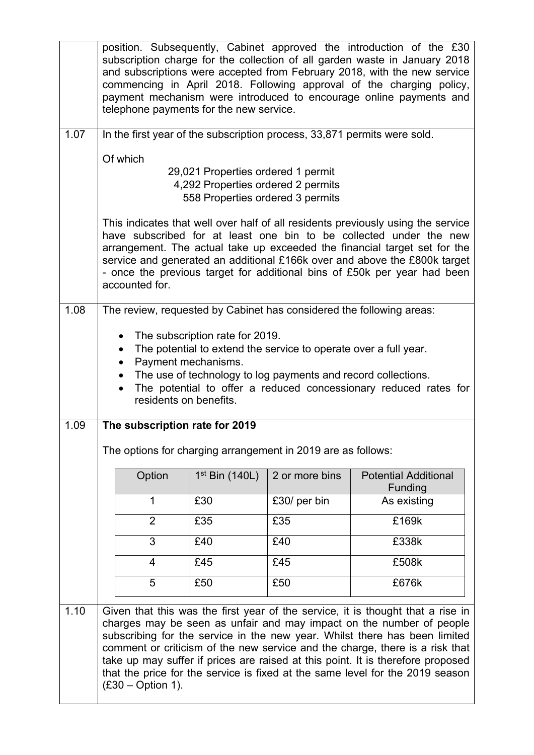|      |                                                              | telephone payments for the new service.                                                                                                                                                                                 |                | position. Subsequently, Cabinet approved the introduction of the £30<br>subscription charge for the collection of all garden waste in January 2018<br>and subscriptions were accepted from February 2018, with the new service<br>commencing in April 2018. Following approval of the charging policy,<br>payment mechanism were introduced to encourage online payments and                                                                                                              |
|------|--------------------------------------------------------------|-------------------------------------------------------------------------------------------------------------------------------------------------------------------------------------------------------------------------|----------------|-------------------------------------------------------------------------------------------------------------------------------------------------------------------------------------------------------------------------------------------------------------------------------------------------------------------------------------------------------------------------------------------------------------------------------------------------------------------------------------------|
| 1.07 |                                                              | In the first year of the subscription process, 33,871 permits were sold.                                                                                                                                                |                |                                                                                                                                                                                                                                                                                                                                                                                                                                                                                           |
|      | Of which                                                     | 29,021 Properties ordered 1 permit<br>4,292 Properties ordered 2 permits<br>558 Properties ordered 3 permits                                                                                                            |                |                                                                                                                                                                                                                                                                                                                                                                                                                                                                                           |
|      | accounted for.                                               |                                                                                                                                                                                                                         |                | This indicates that well over half of all residents previously using the service<br>have subscribed for at least one bin to be collected under the new<br>arrangement. The actual take up exceeded the financial target set for the<br>service and generated an additional £166k over and above the £800k target<br>- once the previous target for additional bins of £50k per year had been                                                                                              |
| 1.08 | $\bullet$<br>$\bullet$                                       | The subscription rate for 2019.<br>The potential to extend the service to operate over a full year.<br>Payment mechanisms.<br>• The use of technology to log payments and record collections.<br>residents on benefits. |                | The review, requested by Cabinet has considered the following areas:<br>The potential to offer a reduced concessionary reduced rates for                                                                                                                                                                                                                                                                                                                                                  |
| 1.09 |                                                              | The subscription rate for 2019                                                                                                                                                                                          |                |                                                                                                                                                                                                                                                                                                                                                                                                                                                                                           |
|      | The options for charging arrangement in 2019 are as follows: |                                                                                                                                                                                                                         |                |                                                                                                                                                                                                                                                                                                                                                                                                                                                                                           |
|      | Option                                                       | $1st$ Bin (140L)                                                                                                                                                                                                        | 2 or more bins | <b>Potential Additional</b><br>Funding                                                                                                                                                                                                                                                                                                                                                                                                                                                    |
|      | 1                                                            | £30                                                                                                                                                                                                                     | £30/ per bin   | As existing                                                                                                                                                                                                                                                                                                                                                                                                                                                                               |
|      | $\overline{2}$                                               | £35                                                                                                                                                                                                                     | £35            | £169k                                                                                                                                                                                                                                                                                                                                                                                                                                                                                     |
|      | 3                                                            | £40                                                                                                                                                                                                                     | £40            | £338k                                                                                                                                                                                                                                                                                                                                                                                                                                                                                     |
|      | $\overline{4}$                                               | £45                                                                                                                                                                                                                     | £45            | £508k                                                                                                                                                                                                                                                                                                                                                                                                                                                                                     |
|      | 5                                                            | £50                                                                                                                                                                                                                     | £50            | £676k                                                                                                                                                                                                                                                                                                                                                                                                                                                                                     |
| 1.10 | $(E30 - Option 1)$ .                                         |                                                                                                                                                                                                                         |                | Given that this was the first year of the service, it is thought that a rise in<br>charges may be seen as unfair and may impact on the number of people<br>subscribing for the service in the new year. Whilst there has been limited<br>comment or criticism of the new service and the charge, there is a risk that<br>take up may suffer if prices are raised at this point. It is therefore proposed<br>that the price for the service is fixed at the same level for the 2019 season |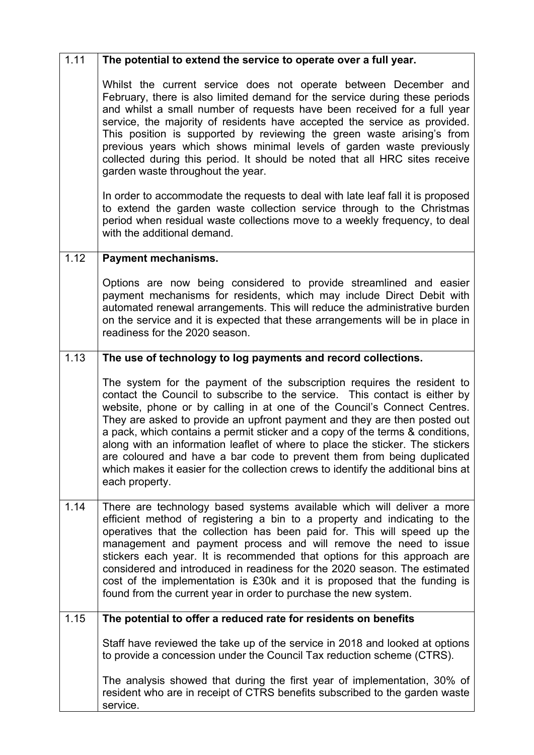| 1.11 | The potential to extend the service to operate over a full year.                                                                                                                                                                                                                                                                                                                                                                                                                                                                                                                                                                                                                                                                            |
|------|---------------------------------------------------------------------------------------------------------------------------------------------------------------------------------------------------------------------------------------------------------------------------------------------------------------------------------------------------------------------------------------------------------------------------------------------------------------------------------------------------------------------------------------------------------------------------------------------------------------------------------------------------------------------------------------------------------------------------------------------|
|      | Whilst the current service does not operate between December and<br>February, there is also limited demand for the service during these periods<br>and whilst a small number of requests have been received for a full year<br>service, the majority of residents have accepted the service as provided.<br>This position is supported by reviewing the green waste arising's from<br>previous years which shows minimal levels of garden waste previously<br>collected during this period. It should be noted that all HRC sites receive<br>garden waste throughout the year.<br>In order to accommodate the requests to deal with late leaf fall it is proposed<br>to extend the garden waste collection service through to the Christmas |
|      | period when residual waste collections move to a weekly frequency, to deal<br>with the additional demand.                                                                                                                                                                                                                                                                                                                                                                                                                                                                                                                                                                                                                                   |
| 1.12 | Payment mechanisms.                                                                                                                                                                                                                                                                                                                                                                                                                                                                                                                                                                                                                                                                                                                         |
|      | Options are now being considered to provide streamlined and easier<br>payment mechanisms for residents, which may include Direct Debit with<br>automated renewal arrangements. This will reduce the administrative burden<br>on the service and it is expected that these arrangements will be in place in<br>readiness for the 2020 season.                                                                                                                                                                                                                                                                                                                                                                                                |
| 1.13 | The use of technology to log payments and record collections.                                                                                                                                                                                                                                                                                                                                                                                                                                                                                                                                                                                                                                                                               |
|      | The system for the payment of the subscription requires the resident to<br>contact the Council to subscribe to the service. This contact is either by<br>website, phone or by calling in at one of the Council's Connect Centres.<br>They are asked to provide an upfront payment and they are then posted out<br>a pack, which contains a permit sticker and a copy of the terms & conditions,<br>along with an information leaflet of where to place the sticker. The stickers<br>are coloured and have a bar code to prevent them from being duplicated<br>which makes it easier for the collection crews to identify the additional bins at<br>each property.                                                                           |
| 1.14 | There are technology based systems available which will deliver a more<br>efficient method of registering a bin to a property and indicating to the<br>operatives that the collection has been paid for. This will speed up the<br>management and payment process and will remove the need to issue<br>stickers each year. It is recommended that options for this approach are<br>considered and introduced in readiness for the 2020 season. The estimated<br>cost of the implementation is £30k and it is proposed that the funding is<br>found from the current year in order to purchase the new system.                                                                                                                               |
| 1.15 | The potential to offer a reduced rate for residents on benefits                                                                                                                                                                                                                                                                                                                                                                                                                                                                                                                                                                                                                                                                             |
|      | Staff have reviewed the take up of the service in 2018 and looked at options<br>to provide a concession under the Council Tax reduction scheme (CTRS).                                                                                                                                                                                                                                                                                                                                                                                                                                                                                                                                                                                      |
|      | The analysis showed that during the first year of implementation, 30% of<br>resident who are in receipt of CTRS benefits subscribed to the garden waste<br>service.                                                                                                                                                                                                                                                                                                                                                                                                                                                                                                                                                                         |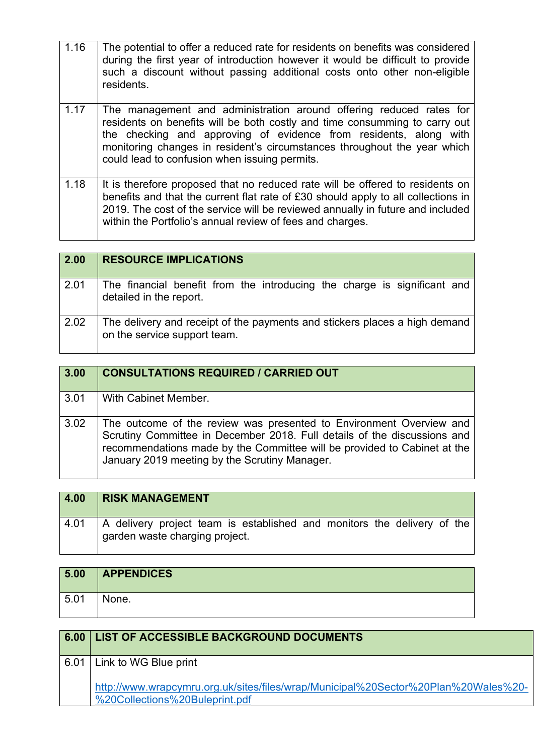| 1.16 | The potential to offer a reduced rate for residents on benefits was considered<br>during the first year of introduction however it would be difficult to provide<br>such a discount without passing additional costs onto other non-eligible<br>residents.                                                                                          |
|------|-----------------------------------------------------------------------------------------------------------------------------------------------------------------------------------------------------------------------------------------------------------------------------------------------------------------------------------------------------|
| 1.17 | The management and administration around offering reduced rates for<br>residents on benefits will be both costly and time consumming to carry out<br>the checking and approving of evidence from residents, along with<br>monitoring changes in resident's circumstances throughout the year which<br>could lead to confusion when issuing permits. |
| 1.18 | It is therefore proposed that no reduced rate will be offered to residents on<br>benefits and that the current flat rate of £30 should apply to all collections in<br>2019. The cost of the service will be reviewed annually in future and included<br>within the Portfolio's annual review of fees and charges.                                   |

| $\boxed{2.00}$ | <b>RESOURCE IMPLICATIONS</b>                                                                               |
|----------------|------------------------------------------------------------------------------------------------------------|
| 2.01           | The financial benefit from the introducing the charge is significant and<br>detailed in the report.        |
| 2.02           | The delivery and receipt of the payments and stickers places a high demand<br>on the service support team. |

| 3.00 | <b>CONSULTATIONS REQUIRED / CARRIED OUT</b>                                                                                                                                                                                                                                  |
|------|------------------------------------------------------------------------------------------------------------------------------------------------------------------------------------------------------------------------------------------------------------------------------|
| 3.01 | With Cabinet Member.                                                                                                                                                                                                                                                         |
| 3.02 | The outcome of the review was presented to Environment Overview and<br>Scrutiny Committee in December 2018. Full details of the discussions and<br>recommendations made by the Committee will be provided to Cabinet at the<br>January 2019 meeting by the Scrutiny Manager. |

| 4.00 | <b>RISK MANAGEMENT</b>                                                                                    |
|------|-----------------------------------------------------------------------------------------------------------|
| 4.01 | A delivery project team is established and monitors the delivery of the<br>garden waste charging project. |

| 5.00 | <b>APPENDICES</b> |
|------|-------------------|
| 5.01 | None.             |

| 6.00 | <b>LIST OF ACCESSIBLE BACKGROUND DOCUMENTS</b>                                                                       |
|------|----------------------------------------------------------------------------------------------------------------------|
| 6.01 | Link to WG Blue print                                                                                                |
|      | http://www.wrapcymru.org.uk/sites/files/wrap/Municipal%20Sector%20Plan%20Wales%20-<br>%20Collections%20Buleprint.pdf |